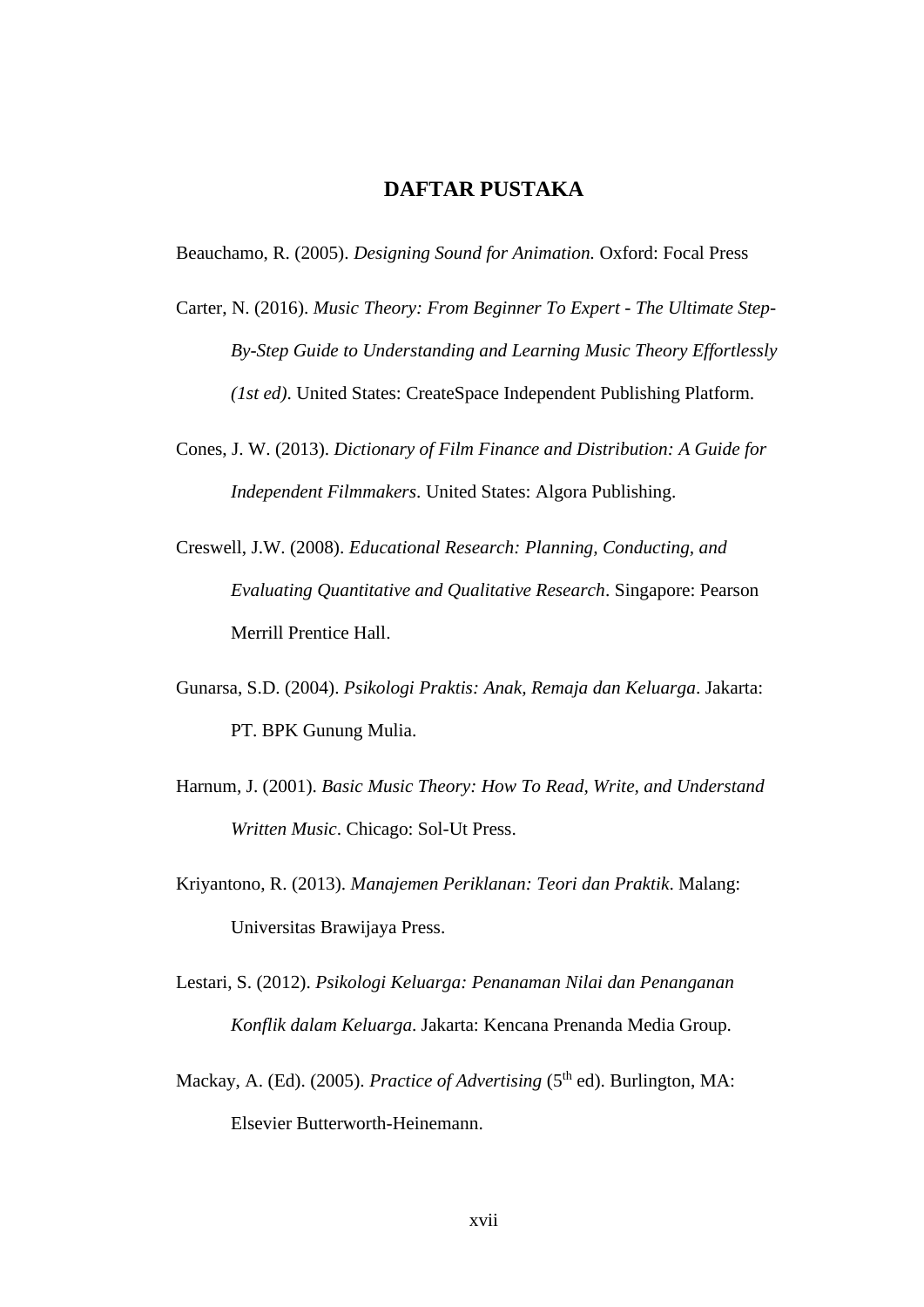## **DAFTAR PUSTAKA**

Beauchamo, R. (2005). *Designing Sound for Animation.* Oxford: Focal Press

- Carter, N. (2016). *Music Theory: From Beginner To Expert - The Ultimate Step-By-Step Guide to Understanding and Learning Music Theory Effortlessly (1st ed)*. United States: CreateSpace Independent Publishing Platform.
- Cones, J. W. (2013). *Dictionary of Film Finance and Distribution: A Guide for Independent Filmmakers*. United States: Algora Publishing.
- Creswell, J.W. (2008). *Educational Research: Planning, Conducting, and Evaluating Quantitative and Qualitative Research*. Singapore: Pearson Merrill Prentice Hall.
- Gunarsa, S.D. (2004). *Psikologi Praktis: Anak, Remaja dan Keluarga*. Jakarta: PT. BPK Gunung Mulia.
- Harnum, J. (2001). *Basic Music Theory: How To Read, Write, and Understand Written Music*. Chicago: Sol-Ut Press.
- Kriyantono, R. (2013). *Manajemen Periklanan: Teori dan Praktik*. Malang: Universitas Brawijaya Press.
- Lestari, S. (2012). *Psikologi Keluarga: Penanaman Nilai dan Penanganan Konflik dalam Keluarga*. Jakarta: Kencana Prenanda Media Group.
- Mackay, A. (Ed). (2005). *Practice of Advertising* (5<sup>th</sup> ed). Burlington, MA: Elsevier Butterworth-Heinemann.